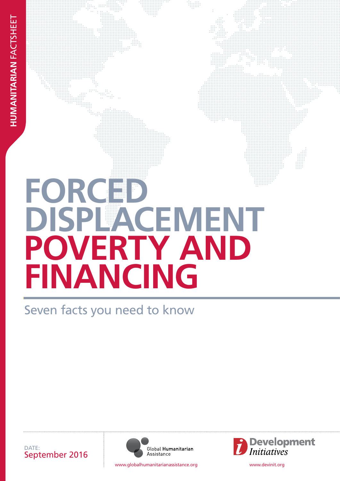# FORCED **DISPLACEMENT poverty and FINANCING**

Seven facts you need to know





www.globalhumanitarianassistance.org www.devinit.org

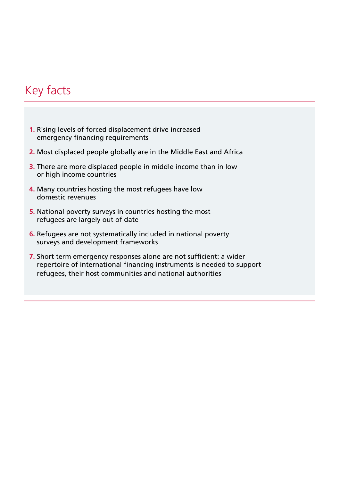# Key facts

- **1.** [Rising levels of forced displacement drive increased](#page-2-0)  [emergency financing requirements](#page-2-0)
- **2.** [Most displaced people globally are in the Middle East and Africa](#page-2-0)
- **3.** [There are more displaced people in middle income than in low](#page-4-0)  [or high income countries](#page-4-0)
- **4.** [Many countries hosting the most refugees have low](#page-5-0)  [domestic revenues](#page-5-0)
- **5.** [National poverty surveys in countries hosting the most](#page-6-0)  [refugees are largely out of date](#page-6-0)
- **6.** [Refugees are not systematically included in national poverty](#page-7-0)  [surveys and development frameworks](#page-7-0)
- **7.** [Short term emergency responses alone are not sufficient: a wider](#page-8-0)  [repertoire of international financing instruments is needed to support](#page-8-0)  [refugees, their host communities and national authorities](#page-8-0)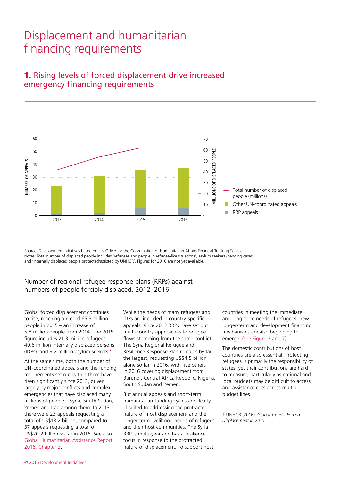# Displacement and humanitarian financing requirements



## <span id="page-2-0"></span>1. Rising levels of forced displacement drive increased emergency financing requirements

Source: Development Initiatives based on UN Office for the Coordination of Humanitarian Affairs Financial Tracking Service Notes: Total number of displaced people includes 'refugees and people in refugee-like situations', asylum seekers (pending cases)' and 'internally displaced people protected/assisted by UNHCR'. Figures for 2016 are not yet available.

#### Number of regional refugee response plans (RRPs) against numbers of people forcibly displaced, 2012–2016

Global forced displacement continues to rise, reaching a record 65.3 million people in 2015 – an increase of 5.8 million people from 2014. The 2015 figure includes 21.3 million refugees, 40.8 million internally displaced persons (IDPs), and 3.2 million asylum seekers.<sup>1</sup>

At the same time, both the number of UN-coordinated appeals and the funding requirements set out within them have risen significantly since 2013, driven largely by major conflicts and complex emergencies that have displaced many millions of people – Syria, South Sudan, Yemen and Iraq among them. In 2013 there were 23 appeals requesting a total of US\$13.2 billion, compared to 37 appeals requesting a total of US\$20.2 billion so far in 2016. See also [Global Humanitarian Assistance Report](http://devinit.org/wp-content/uploads/2016/06/Global-Humanitarian-Assistance-Report-2016_Chapter-3.pdf)  [2016, Chapter 3](http://devinit.org/wp-content/uploads/2016/06/Global-Humanitarian-Assistance-Report-2016_Chapter-3.pdf).

While the needs of many refugees and IDPs are included in country-specific appeals, since 2013 RRPs have set out multi-country approaches to refugee flows stemming from the same conflict. The Syria Regional Refugee and Resilience Response Plan remains by far the largest, requesting US\$4.5 billion alone so far in 2016, with five others in 2016 covering displacement from Burundi, Central Africa Republic, Nigeria, South Sudan and Yemen.

But annual appeals and short-term humanitarian funding cycles are clearly ill-suited to addressing the protracted nature of most displacement and the longer-term livelihood needs of refugees and their host communities. The Syria 3RP is multi-year and has a resilience focus in response to the protracted nature of displacement. To support host

countries in meeting the immediate and long-term needs of refugees, new longer-term and development financing mechanisms are also beginning to emerge. [\(see Figure 3](#page-4-0) [and 7\).](#page-8-1)

The domestic contributions of host countries are also essential. Protecting refugees is primarily the responsibility of states, yet their contributions are hard to measure, particularly as national and local budgets may be difficult to access and assistance cuts across multiple budget lines.

1 UNHCR (2016), *Global Trends: Forced Displacement in 2015*.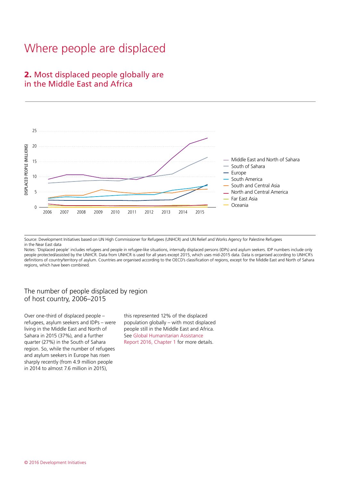# Where people are displaced

## 2. Most displaced people globally are in the Middle East and Africa



Source: Development Initiatives based on UN High Commissioner for Refugees (UNHCR) and UN Relief and Works Agency for Palestine Refugees in the Near East data

Notes: 'Displaced people' includes refugees and people in refugee-like situations, internally displaced persons (IDPs) and asylum seekers. IDP numbers include only people protected/assisted by the UNHCR. Data from UNHCR is used for all years except 2015, which uses mid-2015 data. Data is organised according to UNHCR's definitions of country/territory of asylum. Countries are organised according to the OECD's classification of regions, except for the Middle East and North of Sahara regions, which have been combined.

#### The number of people displaced by region of host country, 2006–2015

Over one-third of displaced people – refugees, asylum seekers and IDPs – were living in the Middle East and North of Sahara in 2015 (37%), and a further quarter (27%) in the South of Sahara region. So, while the number of refugees and asylum seekers in Europe has risen sharply recently (from 4.9 million people in 2014 to almost 7.6 million in 2015),

this represented 12% of the displaced population globally – with most displaced people still in the Middle East and Africa. See [Global Humanitarian Assistance](http://devinit.org/wp-content/uploads/2016/06/Global-Humanitarian-Assistance-Report-2016_Chapter-1.pdf)  [Report 2016, Chapter 1](http://devinit.org/wp-content/uploads/2016/06/Global-Humanitarian-Assistance-Report-2016_Chapter-1.pdf) for more details.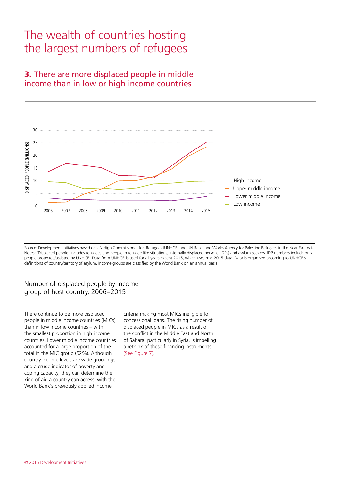# The wealth of countries hosting the largest numbers of refugees

## <span id="page-4-0"></span>3. There are more displaced people in middle income than in low or high income countries



Source: Development Initiatives based on UN High Commissioner for Refugees (UNHCR) and UN Relief and Works Agency for Palestine Refugees in the Near East data Notes: 'Displaced people' includes refugees and people in refugee-like situations, internally displaced persons (IDPs) and asylum seekers. IDP numbers include only people protected/assisted by UNHCR. Data from UNHCR is used for all years except 2015, which uses mid-2015 data. Data is organised according to UNHCR's definitions of country/territory of asylum. Income groups are classified by the World Bank on an annual basis.

#### Number of displaced people by income group of host country, 2006−2015

There continue to be more displaced people in middle income countries (MICs) than in low income countries – with the smallest proportion in high income countries. Lower middle income countries accounted for a large proportion of the total in the MIC group (52%). Although country income levels are wide groupings and a crude indicator of poverty and coping capacity, they can determine the kind of aid a country can access, with the World Bank's previously applied income

criteria making most MICs ineligible for concessional loans. The rising number of displaced people in MICs as a result of the conflict in the Middle East and North of Sahara, particularly in Syria, is impelling a rethink of these financing instruments [\(See Figure 7\)](#page-8-1).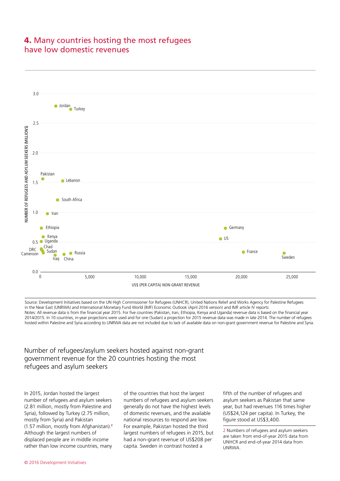## <span id="page-5-0"></span>4. Many countries hosting the most refugees have low domestic revenues



Source: Development Initiatives based on the UN High Commissioner for Refugees (UNHCR), United Nations Relief and Works Agency for Palestine Refugees in the Near East (UNRWA) and International Monetary Fund World (IMF) Economic Outlook (April 2016 version) and IMF article IV reports Notes: All revenue data is from the financial year 2015. For five countries (Pakistan, Iran, Ethiopia, Kenya and Uganda) revenue data is based on the financial year 2014/2015. In 10 countries, in-year projections were used and for one (Sudan) a projection for 2015 revenue data was made in late 2014. The number of refugees hosted within Palestine and Syria according to UNRWA data are not included due to lack of available data on non-grant government revenue for Palestine and Syria.

#### Number of refugees/asylum seekers hosted against non-grant government revenue for the 20 countries hosting the most refugees and asylum seekers

In 2015, Jordan hosted the largest number of refugees and asylum seekers (2.81 million, mostly from Palestine and Syria), followed by Turkey (2.75 million, mostly from Syria) and Pakistan (1.57 million, mostly from Afghanistan).<sup>2</sup> Although the largest numbers of displaced people are in middle income rather than low income countries, many

of the countries that host the largest numbers of refugees and asylum seekers generally do not have the highest levels of domestic revenues, and the available national resources to respond are low. For example, Pakistan hosted the third largest numbers of refugees in 2015, but had a non-grant revenue of US\$208 per capita. Sweden in contrast hosted a

fifth of the number of refugees and asylum seekers as Pakistan that same year, but had revenues 116 times higher (US\$24,124 per capita). In Turkey, the figure stood at US\$3,400.

2 Numbers of refugees and asylum seekers are taken from end-of-year 2015 data from UNHCR and end-of-year 2014 data from UNRWA.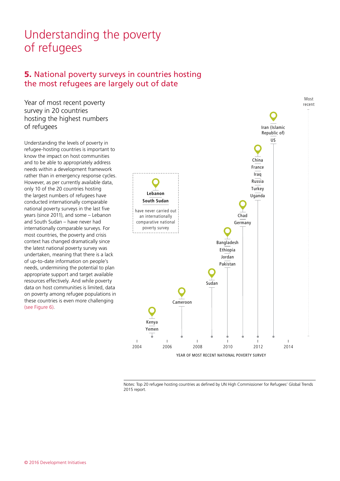# Understanding the poverty of refugees

## <span id="page-6-0"></span>5. National poverty surveys in countries hosting the most refugees are largely out of date

Year of most recent poverty survey in 20 countries hosting the highest numbers of refugees

Understanding the levels of poverty in refugee-hosting countries is important to know the impact on host communities and to be able to appropriately address needs within a development framework rather than in emergency response cycles. However, as per currently available data, only 10 of the 20 countries hosting the largest numbers of refugees have conducted internationally comparable national poverty surveys in the last five years (since 2011), and some – Lebanon and South Sudan – have never had internationally comparable surveys. For most countries, the poverty and crisis context has changed dramatically since the latest national poverty survey was undertaken, meaning that there is a lack of up-to-date information on people's needs, undermining the potential to plan appropriate support and target available resources effectively. And while poverty data on host communities is limited, data on poverty among refugee populations in these countries is even more challenging [\(see Figure 6\).](#page-7-0)



Notes: Top 20 refugee hosting countries as defined by UN High Commissioner for Refugees' Global Trends 2015 report.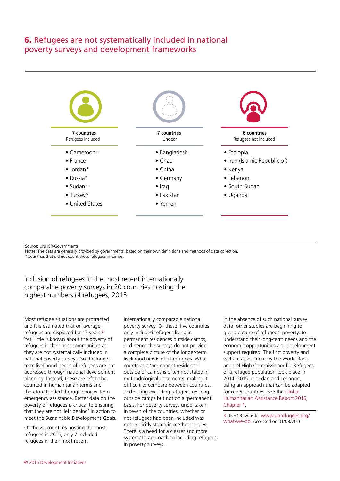## <span id="page-7-0"></span>6. Refugees are not systematically included in national poverty surveys and development frameworks



Source: UNHCR/Governments.

Notes: The data are generally provided by governments, based on their own definitions and methods of data collection.

\*Countries that did not count those refugees in camps.

Inclusion of refugees in the most recent internationally comparable poverty surveys in 20 countries hosting the highest numbers of refugees, 2015

Most refugee situations are protracted and it is estimated that on average, refugees are displaced for 17 years.<sup>3</sup> Yet, little is known about the poverty of refugees in their host communities as they are not systematically included in national poverty surveys. So the longerterm livelihood needs of refugees are not addressed through national development planning. Instead, these are left to be counted in humanitarian terms and therefore funded through shorter-term emergency assistance. Better data on the poverty of refugees is critical to ensuring that they are not 'left behind' in action to meet the Sustainable Development Goals.

Of the 20 countries hosting the most refugees in 2015, only 7 included refugees in their most recent

internationally comparable national poverty survey. Of these, five countries only included refugees living in permanent residences outside camps, and hence the surveys do not provide a complete picture of the longer-term livelihood needs of all refugees. What counts as a 'permanent residence' outside of camps is often not stated in methodological documents, making it difficult to compare between countries, and risking excluding refugees residing outside camps but not on a 'permanent' basis. For poverty surveys undertaken in seven of the countries, whether or not refugees had been included was not explicitly stated in methodologies. There is a need for a clearer and more systematic approach to including refugees in poverty surveys.

In the absence of such national survey data, other studies are beginning to give a picture of refugees' poverty, to understand their long-term needs and the economic opportunities and development support required. The first poverty and welfare assessment by the World Bank and UN High Commissioner for Refugees of a refugee population took place in 2014–2015 in Jordan and Lebanon, using an approach that can be adapted for other countries. See the [Global](http://devinit.org/wp-content/uploads/2016/06/Global-Humanitarian-Assistance-Report-2016_Chapter-1.pdf)  [Humanitarian Assistance Report 2016,](http://devinit.org/wp-content/uploads/2016/06/Global-Humanitarian-Assistance-Report-2016_Chapter-1.pdf)  [Chapter 1](http://devinit.org/wp-content/uploads/2016/06/Global-Humanitarian-Assistance-Report-2016_Chapter-1.pdf).

3 UNHCR website: [www.unrefugees.org/](http://www.unrefugees.org/what-we-do/) [what-we-do.](http://www.unrefugees.org/what-we-do/) Accessed on 01/08/2016